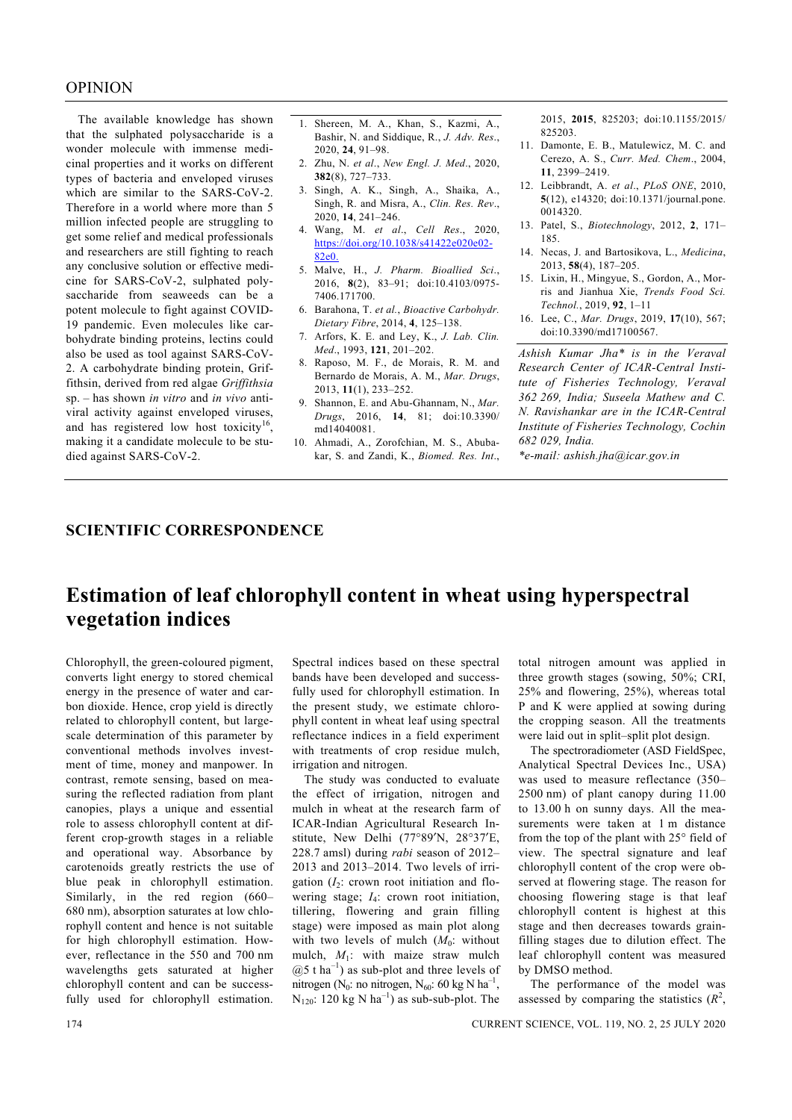The available knowledge has shown that the sulphated polysaccharide is a wonder molecule with immense medicinal properties and it works on different types of bacteria and enveloped viruses which are similar to the SARS-CoV-2. Therefore in a world where more than 5 million infected people are struggling to get some relief and medical professionals and researchers are still fighting to reach any conclusive solution or effective medicine for SARS-CoV-2, sulphated polysaccharide from seaweeds can be a potent molecule to fight against COVID-19 pandemic. Even molecules like carbohydrate binding proteins, lectins could also be used as tool against SARS-CoV-2. A carbohydrate binding protein, Griffithsin, derived from red algae *Griffithsia*  sp. – has shown *in vitro* and *in vivo* antiviral activity against enveloped viruses, and has registered low host toxicity<sup>16</sup>, making it a candidate molecule to be studied against SARS-CoV-2.

- 1. Shereen, M. A., Khan, S., Kazmi, A., Bashir, N. and Siddique, R., *J. Adv. Res*., 2020, **24**, 91–98.
- 2. Zhu, N. *et al*., *New Engl. J. Med*., 2020, **382**(8), 727–733.
- 3. Singh, A. K., Singh, A., Shaika, A., Singh, R. and Misra, A., *Clin. Res. Rev*., 2020, **14**, 241–246.
- 4. Wang, M. *et al*., *Cell Res*., 2020, https://doi.org/10.1038/s41422e020e02- 82e0.
- 5. Malve, H., *J. Pharm. Bioallied Sci*., 2016, **8**(2), 83–91; doi:10.4103/0975- 7406.171700.
- 6. Barahona, T. *et al.*, *Bioactive Carbohydr. Dietary Fibre*, 2014, **4**, 125–138.
- 7. Arfors, K. E. and Ley, K., *J. Lab. Clin. Med*., 1993, **121**, 201–202.
- 8. Raposo, M. F., de Morais, R. M. and Bernardo de Morais, A. M., *Mar. Drugs*, 2013, **11**(1), 233–252.
- 9. Shannon, E. and Abu-Ghannam, N., *Mar. Drugs*, 2016, **14**, 81; doi:10.3390/ md14040081.
- 10. Ahmadi, A., Zorofchian, M. S., Abubakar, S. and Zandi, K., *Biomed. Res. Int*.,

2015, **2015**, 825203; doi:10.1155/2015/ 825203.

- 11. Damonte, E. B., Matulewicz, M. C. and Cerezo, A. S., *Curr. Med. Chem*., 2004, **11**, 2399–2419.
- 12. Leibbrandt, A. *et al*., *PLoS ONE*, 2010, **5**(12), e14320; doi:10.1371/journal.pone. 0014320.
- 13. Patel, S., *Biotechnology*, 2012, **2**, 171– 185.
- 14. Necas, J. and Bartosikova, L., *Medicina*, 2013, **58**(4), 187–205.
- 15. Lixin, H., Mingyue, S., Gordon, A., Morris and Jianhua Xie, *Trends Food Sci. Technol.*, 2019, **92**, 1–11
- 16. Lee, C., *Mar. Drugs*, 2019, **17**(10), 567; doi:10.3390/md17100567.

*Ashish Kumar Jha\* is in the Veraval Research Center of ICAR-Central Institute of Fisheries Technology, Veraval 362 269, India; Suseela Mathew and C. N. Ravishankar are in the ICAR-Central Institute of Fisheries Technology, Cochin 682 029, India.* 

*\*e-mail: ashish.jha@icar.gov.in* 

## **SCIENTIFIC CORRESPONDENCE**

## **Estimation of leaf chlorophyll content in wheat using hyperspectral vegetation indices**

Chlorophyll, the green-coloured pigment, converts light energy to stored chemical energy in the presence of water and carbon dioxide. Hence, crop yield is directly related to chlorophyll content, but largescale determination of this parameter by conventional methods involves investment of time, money and manpower. In contrast, remote sensing, based on measuring the reflected radiation from plant canopies, plays a unique and essential role to assess chlorophyll content at different crop-growth stages in a reliable and operational way. Absorbance by carotenoids greatly restricts the use of blue peak in chlorophyll estimation. Similarly, in the red region (660– 680 nm), absorption saturates at low chlorophyll content and hence is not suitable for high chlorophyll estimation. However, reflectance in the 550 and 700 nm wavelengths gets saturated at higher chlorophyll content and can be successfully used for chlorophyll estimation.

Spectral indices based on these spectral bands have been developed and successfully used for chlorophyll estimation. In the present study, we estimate chlorophyll content in wheat leaf using spectral reflectance indices in a field experiment with treatments of crop residue mulch, irrigation and nitrogen.

 The study was conducted to evaluate the effect of irrigation, nitrogen and mulch in wheat at the research farm of ICAR-Indian Agricultural Research Institute, New Delhi (77°89′N, 28°37′E, 228.7 amsl) during *rabi* season of 2012– 2013 and 2013–2014. Two levels of irrigation  $(I_2)$ : crown root initiation and flowering stage; *I*4: crown root initiation, tillering, flowering and grain filling stage) were imposed as main plot along with two levels of mulch  $(M_0:$  without mulch, *M*1: with maize straw mulch  $(2.5 \text{ t ha}^{-1})$  as sub-plot and three levels of nitrogen (N<sub>0</sub>: no nitrogen, N<sub>60</sub>: 60 kg N ha<sup>-1</sup>,  $N_{120}$ : 120 kg N ha<sup>-1</sup>) as sub-sub-plot. The total nitrogen amount was applied in three growth stages (sowing, 50%; CRI, 25% and flowering, 25%), whereas total P and K were applied at sowing during the cropping season. All the treatments were laid out in split–split plot design.

 The spectroradiometer (ASD FieldSpec, Analytical Spectral Devices Inc., USA) was used to measure reflectance (350– 2500 nm) of plant canopy during 11.00 to 13.00 h on sunny days. All the measurements were taken at 1 m distance from the top of the plant with 25° field of view. The spectral signature and leaf chlorophyll content of the crop were observed at flowering stage. The reason for choosing flowering stage is that leaf chlorophyll content is highest at this stage and then decreases towards grainfilling stages due to dilution effect. The leaf chlorophyll content was measured by DMSO method.

 The performance of the model was assessed by comparing the statistics  $(R^2)$ ,